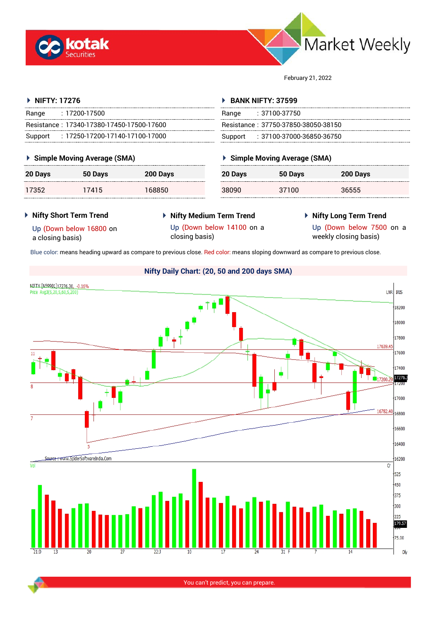



February 21, 2022

#### **NIFTY: 17276** Range : 17200-17500 Resistance : 17340-17380-17450-17500-17600 Support : 17250-17200-17140-17100-17000 **BANK NIFTY: 37599** Range : 37100-37750 Resistance : 37750-37850-38050-38150 Support : 37100-37000-36850-36750

### **Simple Moving Average (SMA)**

| 20 Days | 50 Days | 200 Days |
|---------|---------|----------|
| 17352   | 17415   | 168850   |

# **Simple Moving Average (SMA)**

| $\sim$ onlipe mornig recage (only) |         |          |  |  |
|------------------------------------|---------|----------|--|--|
| 20 Days                            | 50 Days | 200 Days |  |  |
| 38090                              | 37100   | 36555    |  |  |

#### **Nifty Short Term Trend**

- **Nifty Medium Term Trend**
- **Nifty Long Term Trend**

Up (Down below 16800 on a closing basis)

- Up (Down below 14100 on a closing basis)
- Up (Down below 7500 on a
- weekly closing basis)

Blue color: means heading upward as compare to previous close. Red color: means sloping downward as compare to previous close.



You can't predict, you can prepare.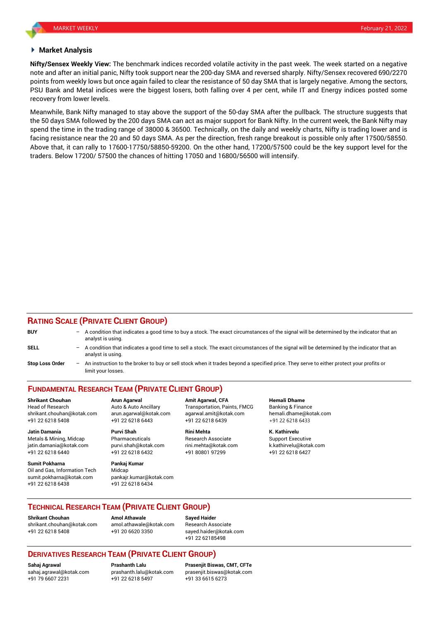#### **Market Analysis**

**Nifty/Sensex Weekly View:** The benchmark indices recorded volatile activity in the past week. The week started on a negative note and after an initial panic, Nifty took support near the 200-day SMA and reversed sharply. Nifty/Sensex recovered 690/2270 points from weekly lows but once again failed to clear the resistance of 50 day SMA that is largely negative. Among the sectors, PSU Bank and Metal indices were the biggest losers, both falling over 4 per cent, while IT and Energy indices posted some recovery from lower levels.

Meanwhile, Bank Nifty managed to stay above the support of the 50-day SMA after the pullback. The structure suggests that the 50 days SMA followed by the 200 days SMA can act as major support for Bank Nifty. In the current week, the Bank Nifty may spend the time in the trading range of 38000 & 36500. Technically, on the daily and weekly charts, Nifty is trading lower and is facing resistance near the 20 and 50 days SMA. As per the direction, fresh range breakout is possible only after 17500/58550. Above that, it can rally to 17600-17750/58850-59200. On the other hand, 17200/57500 could be the key support level for the traders. Below 17200/ 57500 the chances of hitting 17050 and 16800/56500 will intensify.

#### **RATING SCALE (PRIVATE CLIENT GROUP)**

| <b>BUY</b>             | - A condition that indicates a good time to buy a stock. The exact circumstances of the signal will be determined by the indicator that an<br>analyst is using.  |
|------------------------|------------------------------------------------------------------------------------------------------------------------------------------------------------------|
| <b>SELL</b>            | - A condition that indicates a good time to sell a stock. The exact circumstances of the signal will be determined by the indicator that an<br>analyst is using. |
| <b>Stop Loss Order</b> | An instruction to the broker to buy or sell stock when it trades beyond a specified price. They serve to either protect your profits or<br>limit your losses.    |

## **FUNDAMENTAL RESEARCH TEAM (PRIVATE CLIENT GROUP)**

Head of Research **Auto & Auto Ancillary** Transportation, Paints, FMCG Banking & Finance shrikant.chouhan@kotak.com arun.agarwal@kotak.com [agarwal.amit@kotak.com](mailto:agarwal.amit@kotak.com) hemali.dhame@kotak.com +91 22 6218 5408 +91 22 6218 6443 +91 22 6218 6439 +91 22 6218 6433

Metals & Mining, Midcap **Pharmaceuticals** Research Associate Support Executive Research Associate jatin.damania@kotak.com [purvi.shah@kotak.com](mailto:purvi.shah@kotak.com) rini.mehta@kotak.com [k.kathirvelu@kotak.com](mailto:k.kathirvelu@kotak.com) +91 22 6218 6440 +91 22 6218 6432 +91 80801 97299 +91 22 6218 6427

**Sumit Pokharna** Pankaj Kumar Oil and Gas, Information Tech Midcap sumit.pokharna@kotak.com pankajr.kumar@kotak.com +91 22 6218 6438 +91 22 6218 6434

**Jatin Damania Purvi Shah Rini Mehta K. Kathirvelu**

**Shrikant Chouhan Arun Agarwal Amit Agarwal, CFA Hemali Dhame**

#### **TECHNICAL RESEARCH TEAM (PRIVATE CLIENT GROUP)**

**Shrikant Chouhan Amol Athawale Sayed Haider** [shrikant.chouhan@kotak.com](mailto:shrikant.chouhan@kotak.com) [amol.athawale@kotak.com](mailto:amol.athawale@kotak.com) Research Associate +91 22 6218 5408 +91 20 6620 3350 [sayed.haider@kotak.com](mailto:sayed.haider@kotak.com)

+91 22 62185498

## **DERIVATIVES RESEARCH TEAM (PRIVATE CLIENT GROUP)**

+91 79 6607 2231 +91 22 6218 5497 +91 33 6615 6273

**Sahaj Agrawal Prashanth Lalu Prasenjit Biswas, CMT, CFTe** [sahaj.agrawal@kotak.com](mailto:sahaj.agrawal@kotak.com) [prashanth.lalu@kotak.com](mailto:prashanth.lalu@kotak.com) [prasenjit.biswas@kotak.com](mailto:prasenjit.biswas@kotak.com)